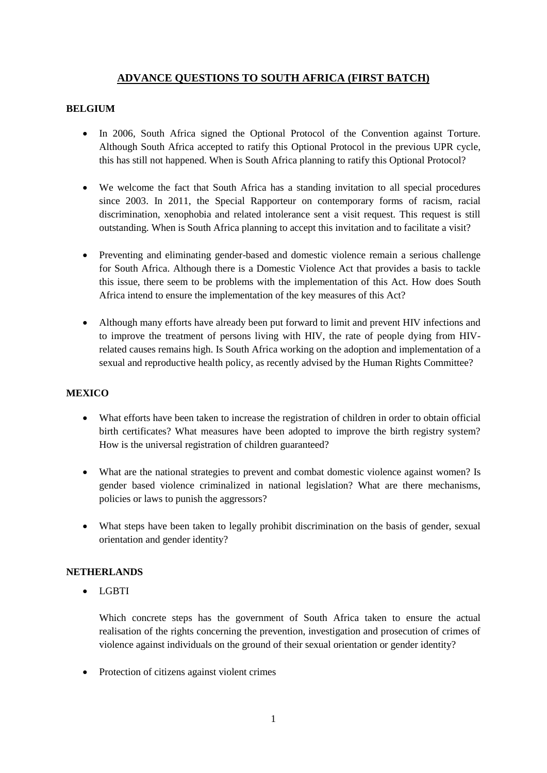# **ADVANCE QUESTIONS TO SOUTH AFRICA (FIRST BATCH)**

## **BELGIUM**

- In 2006, South Africa signed the Optional Protocol of the Convention against Torture. Although South Africa accepted to ratify this Optional Protocol in the previous UPR cycle, this has still not happened. When is South Africa planning to ratify this Optional Protocol?
- We welcome the fact that South Africa has a standing invitation to all special procedures since 2003. In 2011, the Special Rapporteur on contemporary forms of racism, racial discrimination, xenophobia and related intolerance sent a visit request. This request is still outstanding. When is South Africa planning to accept this invitation and to facilitate a visit?
- Preventing and eliminating gender-based and domestic violence remain a serious challenge for South Africa. Although there is a Domestic Violence Act that provides a basis to tackle this issue, there seem to be problems with the implementation of this Act. How does South Africa intend to ensure the implementation of the key measures of this Act?
- Although many efforts have already been put forward to limit and prevent HIV infections and to improve the treatment of persons living with HIV, the rate of people dying from HIVrelated causes remains high. Is South Africa working on the adoption and implementation of a sexual and reproductive health policy, as recently advised by the Human Rights Committee?

## **MEXICO**

- What efforts have been taken to increase the registration of children in order to obtain official birth certificates? What measures have been adopted to improve the birth registry system? How is the universal registration of children guaranteed?
- What are the national strategies to prevent and combat domestic violence against women? Is gender based violence criminalized in national legislation? What are there mechanisms, policies or laws to punish the aggressors?
- What steps have been taken to legally prohibit discrimination on the basis of gender, sexual orientation and gender identity?

#### **NETHERLANDS**

• LGBTI

Which concrete steps has the government of South Africa taken to ensure the actual realisation of the rights concerning the prevention, investigation and prosecution of crimes of violence against individuals on the ground of their sexual orientation or gender identity?

• Protection of citizens against violent crimes